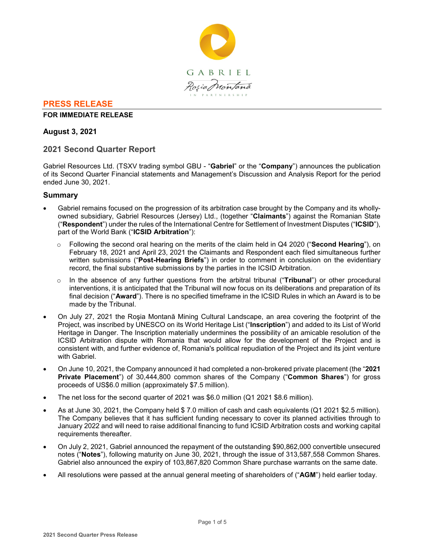

# **PRESS RELEASE**

## **FOR IMMEDIATE RELEASE**

# **August 3, 2021**

# **2021 Second Quarter Report**

Gabriel Resources Ltd. (TSXV trading symbol GBU - "**Gabriel**" or the "**Company**") announces the publication of its Second Quarter Financial statements and Management's Discussion and Analysis Report for the period ended June 30, 2021.

# **Summary**

- Gabriel remains focused on the progression of its arbitration case brought by the Company and its whollyowned subsidiary, Gabriel Resources (Jersey) Ltd., (together "**Claimants**") against the Romanian State ("**Respondent**") under the rules of the International Centre for Settlement of Investment Disputes ("**ICSID**"), part of the World Bank ("**ICSID Arbitration**"):
	- o Following the second oral hearing on the merits of the claim held in Q4 2020 ("**Second Hearing**"), on February 18, 2021 and April 23, 2021 the Claimants and Respondent each filed simultaneous further written submissions ("**Post-Hearing Briefs**") in order to comment in conclusion on the evidentiary record, the final substantive submissions by the parties in the ICSID Arbitration.
	- o In the absence of any further questions from the arbitral tribunal ("**Tribunal**") or other procedural interventions, it is anticipated that the Tribunal will now focus on its deliberations and preparation of its final decision ("**Award**"). There is no specified timeframe in the ICSID Rules in which an Award is to be made by the Tribunal.
- On July 27, 2021 the Roşia Montană Mining Cultural Landscape, an area covering the footprint of the Project, was inscribed by UNESCO on its World Heritage List ("**Inscription**") and added to its List of World Heritage in Danger. The Inscription materially undermines the possibility of an amicable resolution of the ICSID Arbitration dispute with Romania that would allow for the development of the Project and is consistent with, and further evidence of, Romania's political repudiation of the Project and its joint venture with Gabriel.
- On June 10, 2021, the Company announced it had completed a non-brokered private placement (the "**2021 Private Placement**") of 30,444,800 common shares of the Company ("**Common Shares**") for gross proceeds of US\$6.0 million (approximately \$7.5 million).
- The net loss for the second quarter of 2021 was \$6.0 million (Q1 2021 \$8.6 million).
- As at June 30, 2021, the Company held \$ 7.0 million of cash and cash equivalents (Q1 2021 \$2.5 million). The Company believes that it has sufficient funding necessary to cover its planned activities through to January 2022 and will need to raise additional financing to fund ICSID Arbitration costs and working capital requirements thereafter.
- On July 2, 2021, Gabriel announced the repayment of the outstanding \$90,862,000 convertible unsecured notes ("**Notes**"), following maturity on June 30, 2021, through the issue of 313,587,558 Common Shares. Gabriel also announced the expiry of 103,867,820 Common Share purchase warrants on the same date.
- All resolutions were passed at the annual general meeting of shareholders of ("**AGM**") held earlier today.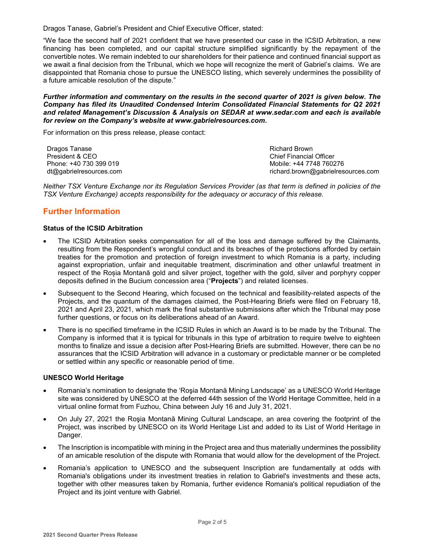Dragos Tanase, Gabriel's President and Chief Executive Officer, stated:

"We face the second half of 2021 confident that we have presented our case in the ICSID Arbitration, a new financing has been completed, and our capital structure simplified significantly by the repayment of the convertible notes. We remain indebted to our shareholders for their patience and continued financial support as we await a final decision from the Tribunal, which we hope will recognize the merit of Gabriel's claims. We are disappointed that Romania chose to pursue the UNESCO listing, which severely undermines the possibility of a future amicable resolution of the dispute."

*Further information and commentary on the results in the second quarter of 2021 is given below. The Company has filed its Unaudited Condensed Interim Consolidated Financial Statements for Q2 2021 and related Management's Discussion & Analysis on SEDAR at www.sedar.com and each is available for review on the Company's website at www.gabrielresources.com.* 

For information on this press release, please contact:

| Dragos Tanase           | Richard Brown                      |
|-------------------------|------------------------------------|
| President & CEO         | <b>Chief Financial Officer</b>     |
| Phone: +40 730 399 019  | Mobile: +44 7748 760276            |
| dt@gabrielresources.com | richard.brown@gabrielresources.com |

*Neither TSX Venture Exchange nor its Regulation Services Provider (as that term is defined in policies of the TSX Venture Exchange) accepts responsibility for the adequacy or accuracy of this release.*

# **Further Information**

## **Status of the ICSID Arbitration**

- The ICSID Arbitration seeks compensation for all of the loss and damage suffered by the Claimants, resulting from the Respondent's wrongful conduct and its breaches of the protections afforded by certain treaties for the promotion and protection of foreign investment to which Romania is a party, including against expropriation, unfair and inequitable treatment, discrimination and other unlawful treatment in respect of the Roșia Montană gold and silver project, together with the gold, silver and porphyry copper deposits defined in the Bucium concession area ("**Projects**") and related licenses.
- Subsequent to the Second Hearing, which focused on the technical and feasibility-related aspects of the Projects, and the quantum of the damages claimed, the Post-Hearing Briefs were filed on February 18, 2021 and April 23, 2021, which mark the final substantive submissions after which the Tribunal may pose further questions, or focus on its deliberations ahead of an Award.
- There is no specified timeframe in the ICSID Rules in which an Award is to be made by the Tribunal. The Company is informed that it is typical for tribunals in this type of arbitration to require twelve to eighteen months to finalize and issue a decision after Post-Hearing Briefs are submitted. However, there can be no assurances that the ICSID Arbitration will advance in a customary or predictable manner or be completed or settled within any specific or reasonable period of time.

## **UNESCO World Heritage**

- Romania's nomination to designate the 'Roşia Montană Mining Landscape' as a UNESCO World Heritage site was considered by UNESCO at the deferred 44th session of the World Heritage Committee, held in a virtual online format from Fuzhou, China between July 16 and July 31, 2021.
- On July 27, 2021 the Roşia Montană Mining Cultural Landscape, an area covering the footprint of the Project, was inscribed by UNESCO on its World Heritage List and added to its List of World Heritage in Danger.
- The Inscription is incompatible with mining in the Project area and thus materially undermines the possibility of an amicable resolution of the dispute with Romania that would allow for the development of the Project.
- Romania's application to UNESCO and the subsequent Inscription are fundamentally at odds with Romania's obligations under its investment treaties in relation to Gabriel's investments and these acts, together with other measures taken by Romania, further evidence Romania's political repudiation of the Project and its joint venture with Gabriel.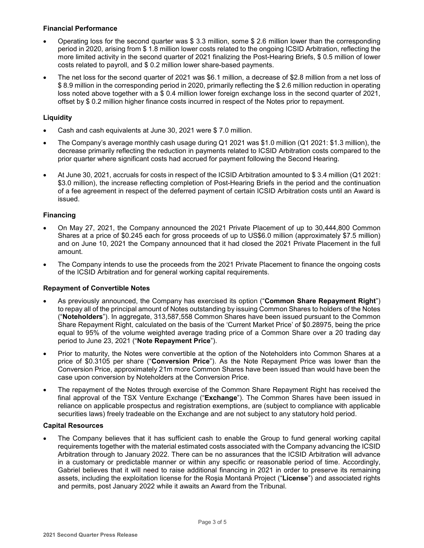# **Financial Performance**

- Operating loss for the second quarter was \$ 3.3 million, some \$ 2.6 million lower than the corresponding period in 2020, arising from \$ 1.8 million lower costs related to the ongoing ICSID Arbitration, reflecting the more limited activity in the second quarter of 2021 finalizing the Post-Hearing Briefs, \$ 0.5 million of lower costs related to payroll, and \$ 0.2 million lower share-based payments.
- The net loss for the second quarter of 2021 was \$6.1 million, a decrease of \$2.8 million from a net loss of \$ 8.9 million in the corresponding period in 2020, primarily reflecting the \$ 2.6 million reduction in operating loss noted above together with a \$ 0.4 million lower foreign exchange loss in the second quarter of 2021, offset by \$ 0.2 million higher finance costs incurred in respect of the Notes prior to repayment.

# **Liquidity**

- Cash and cash equivalents at June 30, 2021 were \$ 7.0 million.
- The Company's average monthly cash usage during Q1 2021 was \$1.0 million (Q1 2021: \$1.3 million), the decrease primarily reflecting the reduction in payments related to ICSID Arbitration costs compared to the prior quarter where significant costs had accrued for payment following the Second Hearing.
- At June 30, 2021, accruals for costs in respect of the ICSID Arbitration amounted to \$ 3.4 million (Q1 2021: \$3.0 million), the increase reflecting completion of Post-Hearing Briefs in the period and the continuation of a fee agreement in respect of the deferred payment of certain ICSID Arbitration costs until an Award is issued.

# **Financing**

- On May 27, 2021, the Company announced the 2021 Private Placement of up to 30,444,800 Common Shares at a price of \$0.245 each for gross proceeds of up to US\$6.0 million (approximately \$7.5 million) and on June 10, 2021 the Company announced that it had closed the 2021 Private Placement in the full amount.
- The Company intends to use the proceeds from the 2021 Private Placement to finance the ongoing costs of the ICSID Arbitration and for general working capital requirements.

## **Repayment of Convertible Notes**

- As previously announced, the Company has exercised its option ("**Common Share Repayment Right**") to repay all of the principal amount of Notes outstanding by issuing Common Shares to holders of the Notes ("**Noteholders**"). In aggregate, 313,587,558 Common Shares have been issued pursuant to the Common Share Repayment Right, calculated on the basis of the 'Current Market Price' of \$0.28975, being the price equal to 95% of the volume weighted average trading price of a Common Share over a 20 trading day period to June 23, 2021 ("**Note Repayment Price**").
- Prior to maturity, the Notes were convertible at the option of the Noteholders into Common Shares at a price of \$0.3105 per share ("**Conversion Price**"). As the Note Repayment Price was lower than the Conversion Price, approximately 21m more Common Shares have been issued than would have been the case upon conversion by Noteholders at the Conversion Price.
- The repayment of the Notes through exercise of the Common Share Repayment Right has received the final approval of the TSX Venture Exchange ("**Exchange**"). The Common Shares have been issued in reliance on applicable prospectus and registration exemptions, are (subject to compliance with applicable securities laws) freely tradeable on the Exchange and are not subject to any statutory hold period.

## **Capital Resources**

• The Company believes that it has sufficient cash to enable the Group to fund general working capital requirements together with the material estimated costs associated with the Company advancing the ICSID Arbitration through to January 2022. There can be no assurances that the ICSID Arbitration will advance in a customary or predictable manner or within any specific or reasonable period of time. Accordingly, Gabriel believes that it will need to raise additional financing in 2021 in order to preserve its remaining assets, including the exploitation license for the Roşia Montană Project ("**License**") and associated rights and permits, post January 2022 while it awaits an Award from the Tribunal.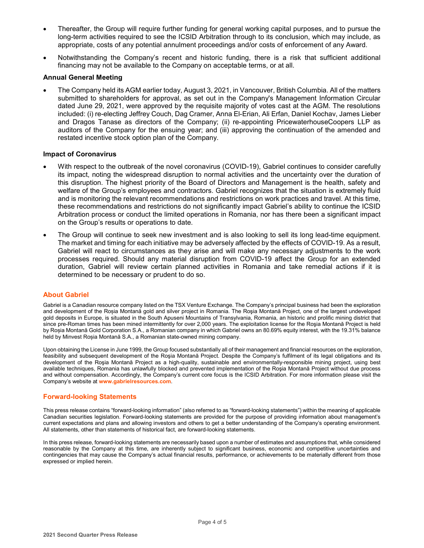- Thereafter, the Group will require further funding for general working capital purposes, and to pursue the long-term activities required to see the ICSID Arbitration through to its conclusion, which may include, as appropriate, costs of any potential annulment proceedings and/or costs of enforcement of any Award.
- Notwithstanding the Company's recent and historic funding, there is a risk that sufficient additional financing may not be available to the Company on acceptable terms, or at all.

### **Annual General Meeting**

• The Company held its AGM earlier today, August 3, 2021, in Vancouver, British Columbia. All of the matters submitted to shareholders for approval, as set out in the Company's Management Information Circular dated June 29, 2021, were approved by the requisite majority of votes cast at the AGM. The resolutions included: (i) re-electing Jeffrey Couch, Dag Cramer, Anna El-Erian, Ali Erfan, Daniel Kochav, James Lieber and Dragos Tanase as directors of the Company; (ii) re-appointing PricewaterhouseCoopers LLP as auditors of the Company for the ensuing year; and (iii) approving the continuation of the amended and restated incentive stock option plan of the Company.

### **Impact of Coronavirus**

- With respect to the outbreak of the novel coronavirus (COVID-19), Gabriel continues to consider carefully its impact, noting the widespread disruption to normal activities and the uncertainty over the duration of this disruption. The highest priority of the Board of Directors and Management is the health, safety and welfare of the Group's employees and contractors. Gabriel recognizes that the situation is extremely fluid and is monitoring the relevant recommendations and restrictions on work practices and travel. At this time, these recommendations and restrictions do not significantly impact Gabriel's ability to continue the ICSID Arbitration process or conduct the limited operations in Romania, nor has there been a significant impact on the Group's results or operations to date.
- The Group will continue to seek new investment and is also looking to sell its long lead-time equipment. The market and timing for each initiative may be adversely affected by the effects of COVID-19. As a result, Gabriel will react to circumstances as they arise and will make any necessary adjustments to the work processes required. Should any material disruption from COVID-19 affect the Group for an extended duration, Gabriel will review certain planned activities in Romania and take remedial actions if it is determined to be necessary or prudent to do so.

### **About Gabriel**

Gabriel is a Canadian resource company listed on the TSX Venture Exchange. The Company's principal business had been the exploration and development of the Roșia Montană gold and silver project in Romania. The Roşia Montană Project, one of the largest undeveloped gold deposits in Europe, is situated in the South Apuseni Mountains of Transylvania, Romania, an historic and prolific mining district that since pre-Roman times has been mined intermittently for over 2,000 years. The exploitation license for the Roşia Montană Project is held by Roșia Montană Gold Corporation S.A., a Romanian company in which Gabriel owns an 80.69% equity interest, with the 19.31% balance held by Minvest Roșia Montană S.A., a Romanian state-owned mining company.

Upon obtaining the License in June 1999, the Group focused substantially all of their management and financial resources on the exploration, feasibility and subsequent development of the Roşia Montană Project. Despite the Company's fulfilment of its legal obligations and its development of the Roşia Montană Project as a high-quality, sustainable and environmentally-responsible mining project, using best available techniques, Romania has unlawfully blocked and prevented implementation of the Roşia Montană Project without due process and without compensation. Accordingly, the Company's current core focus is the ICSID Arbitration. For more information please visit the Company's website at **www.gabrielresources.com**.

### **Forward-looking Statements**

This press release contains "forward-looking information" (also referred to as "forward-looking statements") within the meaning of applicable Canadian securities legislation. Forward-looking statements are provided for the purpose of providing information about management's current expectations and plans and allowing investors and others to get a better understanding of the Company's operating environment. All statements, other than statements of historical fact, are forward-looking statements.

In this press release, forward-looking statements are necessarily based upon a number of estimates and assumptions that, while considered reasonable by the Company at this time, are inherently subject to significant business, economic and competitive uncertainties and contingencies that may cause the Company's actual financial results, performance, or achievements to be materially different from those expressed or implied herein.